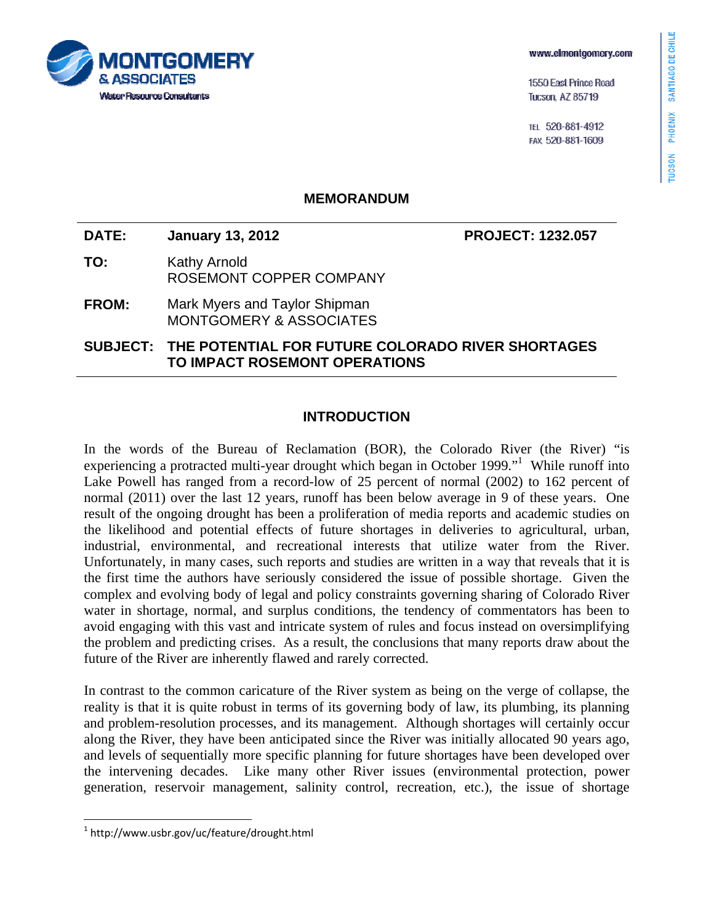TUCSON PHOENIX SANTIAGO DE CHILE

1550 East Prince Road **Tucson, AZ 85719** 

ТЕІ 520-881-4912 FAX 520-881-1609

# **COMFRY Water Resource Consultants**

## **MEMORANDUM**

**DATE: January 13, 2012 PROJECT: 1232.057** 

- **TO:** Kathy Arnold ROSEMONT COPPER COMPANY
- **FROM:** Mark Myers and Taylor Shipman MONTGOMERY & ASSOCIATES

**SUBJECT: THE POTENTIAL FOR FUTURE COLORADO RIVER SHORTAGES TO IMPACT ROSEMONT OPERATIONS** 

## **INTRODUCTION**

In the words of the Bureau of Reclamation (BOR), the Colorado River (the River) "is experiencing a protracted multi-year drought which began in October 1999."<sup>1</sup> While runoff into Lake Powell has ranged from a record-low of 25 percent of normal (2002) to 162 percent of normal (2011) over the last 12 years, runoff has been below average in 9 of these years. One result of the ongoing drought has been a proliferation of media reports and academic studies on the likelihood and potential effects of future shortages in deliveries to agricultural, urban, industrial, environmental, and recreational interests that utilize water from the River. Unfortunately, in many cases, such reports and studies are written in a way that reveals that it is the first time the authors have seriously considered the issue of possible shortage. Given the complex and evolving body of legal and policy constraints governing sharing of Colorado River water in shortage, normal, and surplus conditions, the tendency of commentators has been to avoid engaging with this vast and intricate system of rules and focus instead on oversimplifying the problem and predicting crises. As a result, the conclusions that many reports draw about the future of the River are inherently flawed and rarely corrected.

In contrast to the common caricature of the River system as being on the verge of collapse, the reality is that it is quite robust in terms of its governing body of law, its plumbing, its planning and problem-resolution processes, and its management. Although shortages will certainly occur along the River, they have been anticipated since the River was initially allocated 90 years ago, and levels of sequentially more specific planning for future shortages have been developed over the intervening decades. Like many other River issues (environmental protection, power generation, reservoir management, salinity control, recreation, etc.), the issue of shortage

1



 $1$  http://www.usbr.gov/uc/feature/drought.html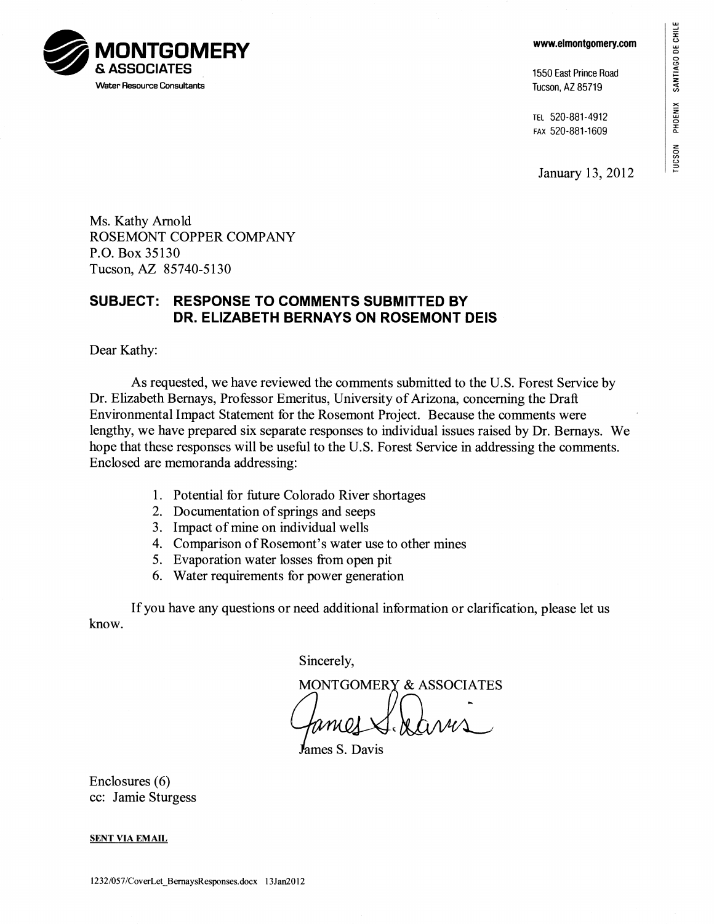SANTIAGO DE CHILE SANTIAGO DE CHILE PHOENIX

**TUCSON** 



1550 East Prince Road Tucson, AZ 85719

TEL 520-881-4912 FAX 520-881-1609

**January 13, 2012** 

**41.111. 0&2 MONTGOMERY Iwirr & ASSOCIATES Water Resource Consultants** 

> **Ms. Kathy Arnold ROSEMONT COPPER COMPANY P.O. Box 35130 Tucson, AZ 85740-5130**

# **SUBJECT: RESPONSE TO COMMENTS SUBMITTED BY DR. ELIZABETH BERNAYS ON ROSEMONT DEIS**

**Dear Kathy:** 

**As requested, we have reviewed the comments submitted to the U.S. Forest Service by Dr. Elizabeth Bernays, Professor Emeritus, University of Arizona, concerning the Draft Environmental Impact Statement for the Rosemont Project. Because the comments were lengthy, we have prepared six separate responses to individual issues raised by Dr. Bernays. We hope that these responses will be useful to the U.S. Forest Service in addressing the comments. Enclosed are memoranda addressing:** 

- **1. Potential for future Colorado River shortages**
- **2. Documentation of springs and seeps**
- **3. Impact of mine on individual wells**
- **4. Comparison of Rosemont's water use to other mines**
- **5. Evaporation water losses from open pit**
- **6. Water requirements for power generation**

**If you have any questions or need additional information or clarification, please let us know.** 

**Sincerely,** 

A **MONTGOMERY & ASSOCIATES** 

**ames S. Davis** 

**Enclosures (6) cc: Jamie Sturgess** 

**SENT VIA EMAIL**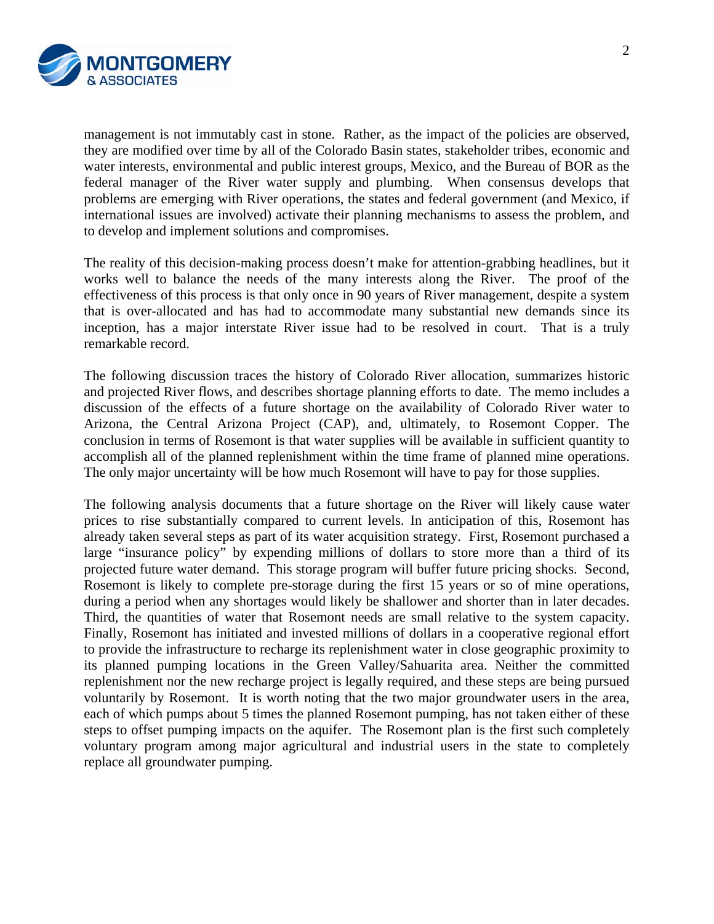

management is not immutably cast in stone. Rather, as the impact of the policies are observed, they are modified over time by all of the Colorado Basin states, stakeholder tribes, economic and water interests, environmental and public interest groups, Mexico, and the Bureau of BOR as the federal manager of the River water supply and plumbing. When consensus develops that problems are emerging with River operations, the states and federal government (and Mexico, if international issues are involved) activate their planning mechanisms to assess the problem, and to develop and implement solutions and compromises.

The reality of this decision-making process doesn't make for attention-grabbing headlines, but it works well to balance the needs of the many interests along the River. The proof of the effectiveness of this process is that only once in 90 years of River management, despite a system that is over-allocated and has had to accommodate many substantial new demands since its inception, has a major interstate River issue had to be resolved in court. That is a truly remarkable record.

The following discussion traces the history of Colorado River allocation, summarizes historic and projected River flows, and describes shortage planning efforts to date. The memo includes a discussion of the effects of a future shortage on the availability of Colorado River water to Arizona, the Central Arizona Project (CAP), and, ultimately, to Rosemont Copper. The conclusion in terms of Rosemont is that water supplies will be available in sufficient quantity to accomplish all of the planned replenishment within the time frame of planned mine operations. The only major uncertainty will be how much Rosemont will have to pay for those supplies.

The following analysis documents that a future shortage on the River will likely cause water prices to rise substantially compared to current levels. In anticipation of this, Rosemont has already taken several steps as part of its water acquisition strategy. First, Rosemont purchased a large "insurance policy" by expending millions of dollars to store more than a third of its projected future water demand. This storage program will buffer future pricing shocks. Second, Rosemont is likely to complete pre-storage during the first 15 years or so of mine operations, during a period when any shortages would likely be shallower and shorter than in later decades. Third, the quantities of water that Rosemont needs are small relative to the system capacity. Finally, Rosemont has initiated and invested millions of dollars in a cooperative regional effort to provide the infrastructure to recharge its replenishment water in close geographic proximity to its planned pumping locations in the Green Valley/Sahuarita area. Neither the committed replenishment nor the new recharge project is legally required, and these steps are being pursued voluntarily by Rosemont. It is worth noting that the two major groundwater users in the area, each of which pumps about 5 times the planned Rosemont pumping, has not taken either of these steps to offset pumping impacts on the aquifer. The Rosemont plan is the first such completely voluntary program among major agricultural and industrial users in the state to completely replace all groundwater pumping.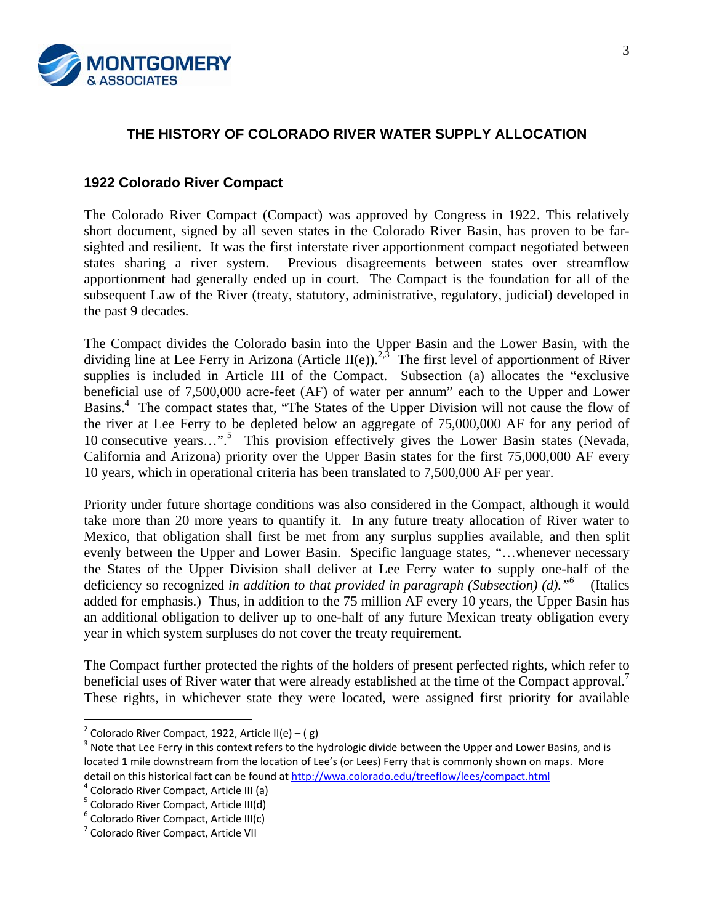

# **THE HISTORY OF COLORADO RIVER WATER SUPPLY ALLOCATION**

## **1922 Colorado River Compact**

The Colorado River Compact (Compact) was approved by Congress in 1922. This relatively short document, signed by all seven states in the Colorado River Basin, has proven to be farsighted and resilient. It was the first interstate river apportionment compact negotiated between states sharing a river system. Previous disagreements between states over streamflow apportionment had generally ended up in court. The Compact is the foundation for all of the subsequent Law of the River (treaty, statutory, administrative, regulatory, judicial) developed in the past 9 decades.

The Compact divides the Colorado basin into the Upper Basin and the Lower Basin, with the dividing line at Lee Ferry in Arizona (Article II(e)).<sup>2,3</sup> The first level of apportionment of River supplies is included in Article III of the Compact. Subsection (a) allocates the "exclusive beneficial use of 7,500,000 acre-feet (AF) of water per annum" each to the Upper and Lower Basins.<sup>4</sup> The compact states that, "The States of the Upper Division will not cause the flow of the river at Lee Ferry to be depleted below an aggregate of 75,000,000 AF for any period of 10 consecutive years...".<sup>5</sup> This provision effectively gives the Lower Basin states (Nevada, California and Arizona) priority over the Upper Basin states for the first 75,000,000 AF every 10 years, which in operational criteria has been translated to 7,500,000 AF per year.

Priority under future shortage conditions was also considered in the Compact, although it would take more than 20 more years to quantify it. In any future treaty allocation of River water to Mexico, that obligation shall first be met from any surplus supplies available, and then split evenly between the Upper and Lower Basin. Specific language states, "…whenever necessary the States of the Upper Division shall deliver at Lee Ferry water to supply one-half of the deficiency so recognized *in addition to that provided in paragraph (Subsection) (d).*<sup>"6</sup> (Italics added for emphasis.) Thus, in addition to the 75 million AF every 10 years, the Upper Basin has an additional obligation to deliver up to one-half of any future Mexican treaty obligation every year in which system surpluses do not cover the treaty requirement.

The Compact further protected the rights of the holders of present perfected rights, which refer to beneficial uses of River water that were already established at the time of the Compact approval.<sup>7</sup> These rights, in whichever state they were located, were assigned first priority for available

1

<sup>&</sup>lt;sup>2</sup> Colorado River Compact, 1922, Article II(e) – ( g)<br><sup>3</sup> Note that Lee Ferry in this context refers to the hydrologic divide between the Upper and Lower Basins, and is located 1 mile downstream from the location of Lee's (or Lees) Ferry that is commonly shown on maps. More detail on this historical fact can be found at <u>http://wwa.colorado.edu/treeflow/lees/compact.html</u><br><sup>4</sup> Colorado River Compact, Article III (a)<br><sup>5</sup> Colorado River Compact, Article III(d)<br><sup>6</sup> Colorado River Compact, Article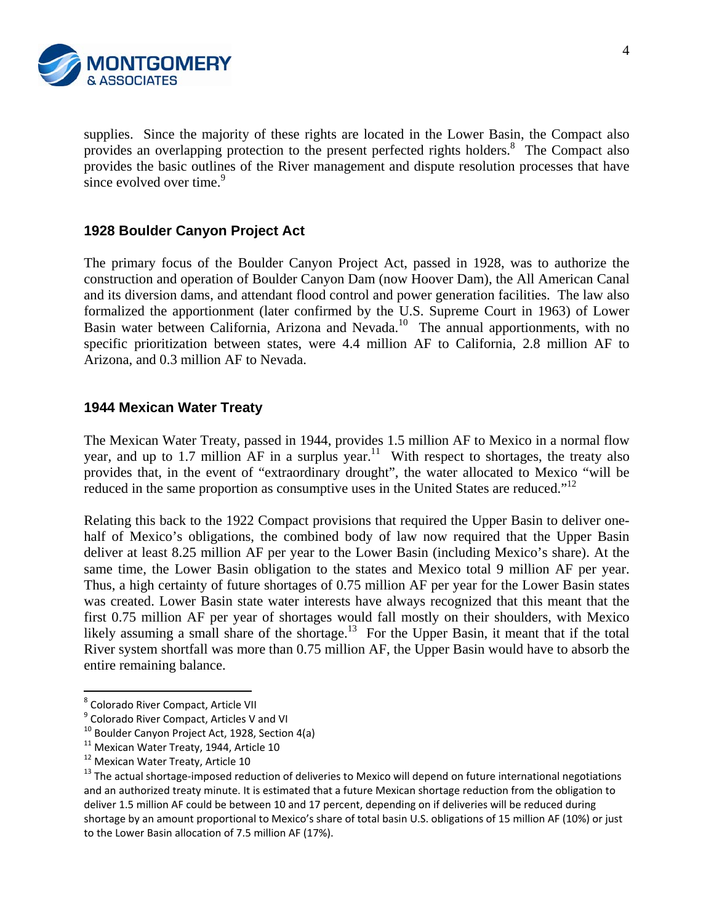

supplies. Since the majority of these rights are located in the Lower Basin, the Compact also provides an overlapping protection to the present perfected rights holders.<sup>8</sup> The Compact also provides the basic outlines of the River management and dispute resolution processes that have since evolved over time.<sup>9</sup>

## **1928 Boulder Canyon Project Act**

The primary focus of the Boulder Canyon Project Act, passed in 1928, was to authorize the construction and operation of Boulder Canyon Dam (now Hoover Dam), the All American Canal and its diversion dams, and attendant flood control and power generation facilities. The law also formalized the apportionment (later confirmed by the U.S. Supreme Court in 1963) of Lower Basin water between California, Arizona and Nevada.<sup>10</sup> The annual apportionments, with no specific prioritization between states, were 4.4 million AF to California, 2.8 million AF to Arizona, and 0.3 million AF to Nevada.

## **1944 Mexican Water Treaty**

The Mexican Water Treaty, passed in 1944, provides 1.5 million AF to Mexico in a normal flow year, and up to 1.7 million AF in a surplus year.<sup>11</sup> With respect to shortages, the treaty also provides that, in the event of "extraordinary drought", the water allocated to Mexico "will be reduced in the same proportion as consumptive uses in the United States are reduced."<sup>12</sup>

Relating this back to the 1922 Compact provisions that required the Upper Basin to deliver onehalf of Mexico's obligations, the combined body of law now required that the Upper Basin deliver at least 8.25 million AF per year to the Lower Basin (including Mexico's share). At the same time, the Lower Basin obligation to the states and Mexico total 9 million AF per year. Thus, a high certainty of future shortages of 0.75 million AF per year for the Lower Basin states was created. Lower Basin state water interests have always recognized that this meant that the first 0.75 million AF per year of shortages would fall mostly on their shoulders, with Mexico likely assuming a small share of the shortage.<sup>13</sup> For the Upper Basin, it meant that if the total River system shortfall was more than 0.75 million AF, the Upper Basin would have to absorb the entire remaining balance.

 $\overline{a}$ 

<sup>&</sup>lt;sup>8</sup> Colorado River Compact, Article VII<br><sup>9</sup> Colorado River Compact, Articles V and VI<br><sup>10</sup> Boulder Canyon Project Act, 1928, Section 4(a)<br><sup>11</sup> Mexican Water Treaty, 1944, Article 10<br><sup>12</sup> Mexican Water Treaty, Article 10<br><sup>1</sup> and an authorized treaty minute. It is estimated that a future Mexican shortage reduction from the obligation to deliver 1.5 million AF could be between 10 and 17 percent, depending on if deliveries will be reduced during shortage by an amount proportional to Mexico's share of total basin U.S. obligations of 15 million AF (10%) or just to the Lower Basin allocation of 7.5 million AF (17%).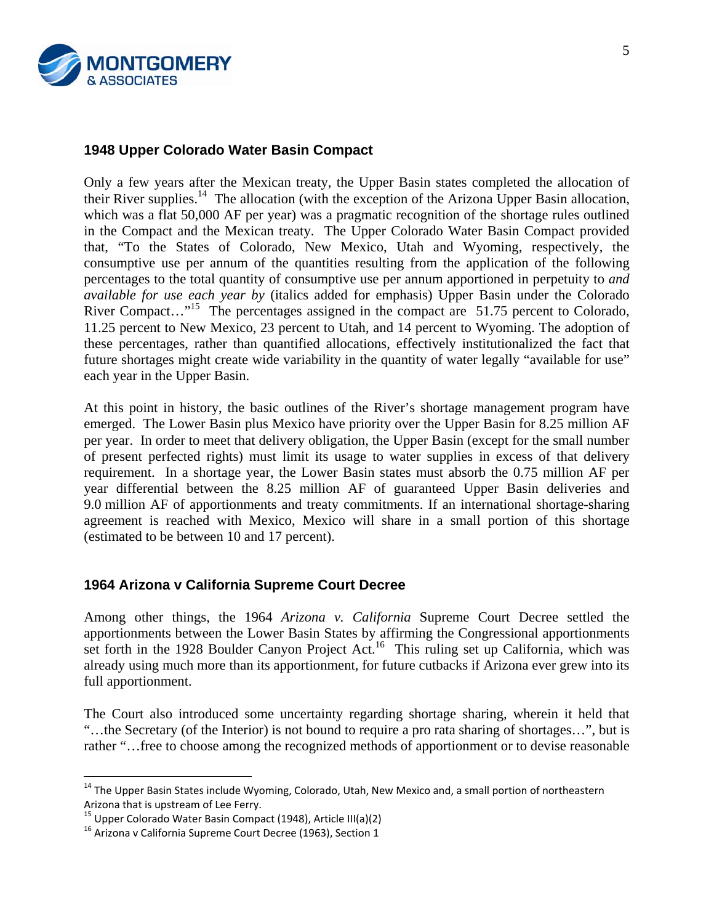

## **1948 Upper Colorado Water Basin Compact**

Only a few years after the Mexican treaty, the Upper Basin states completed the allocation of their River supplies.<sup>14</sup> The allocation (with the exception of the Arizona Upper Basin allocation, which was a flat 50,000 AF per year) was a pragmatic recognition of the shortage rules outlined in the Compact and the Mexican treaty. The Upper Colorado Water Basin Compact provided that, "To the States of Colorado, New Mexico, Utah and Wyoming, respectively, the consumptive use per annum of the quantities resulting from the application of the following percentages to the total quantity of consumptive use per annum apportioned in perpetuity to *and available for use each year by* (italics added for emphasis) Upper Basin under the Colorado River Compact..."<sup>15</sup> The percentages assigned in the compact are 51.75 percent to Colorado, 11.25 percent to New Mexico, 23 percent to Utah, and 14 percent to Wyoming. The adoption of these percentages, rather than quantified allocations, effectively institutionalized the fact that future shortages might create wide variability in the quantity of water legally "available for use" each year in the Upper Basin.

At this point in history, the basic outlines of the River's shortage management program have emerged. The Lower Basin plus Mexico have priority over the Upper Basin for 8.25 million AF per year. In order to meet that delivery obligation, the Upper Basin (except for the small number of present perfected rights) must limit its usage to water supplies in excess of that delivery requirement. In a shortage year, the Lower Basin states must absorb the 0.75 million AF per year differential between the 8.25 million AF of guaranteed Upper Basin deliveries and 9.0 million AF of apportionments and treaty commitments. If an international shortage-sharing agreement is reached with Mexico, Mexico will share in a small portion of this shortage (estimated to be between 10 and 17 percent).

## **1964 Arizona v California Supreme Court Decree**

Among other things, the 1964 *Arizona v. California* Supreme Court Decree settled the apportionments between the Lower Basin States by affirming the Congressional apportionments set forth in the 1928 Boulder Canyon Project Act.<sup>16</sup> This ruling set up California, which was already using much more than its apportionment, for future cutbacks if Arizona ever grew into its full apportionment.

The Court also introduced some uncertainty regarding shortage sharing, wherein it held that "…the Secretary (of the Interior) is not bound to require a pro rata sharing of shortages…", but is rather "…free to choose among the recognized methods of apportionment or to devise reasonable

 $\overline{a}$ 

<sup>&</sup>lt;sup>14</sup> The Upper Basin States include Wyoming, Colorado, Utah, New Mexico and, a small portion of northeastern Arizona that is upstream of Lee Ferry.<br>
<sup>15</sup> Upper Colorado Water Basin Compact (1948), Article III(a)(2)<br>
<sup>16</sup> Arizona v California Supreme Court Decree (1963), Section 1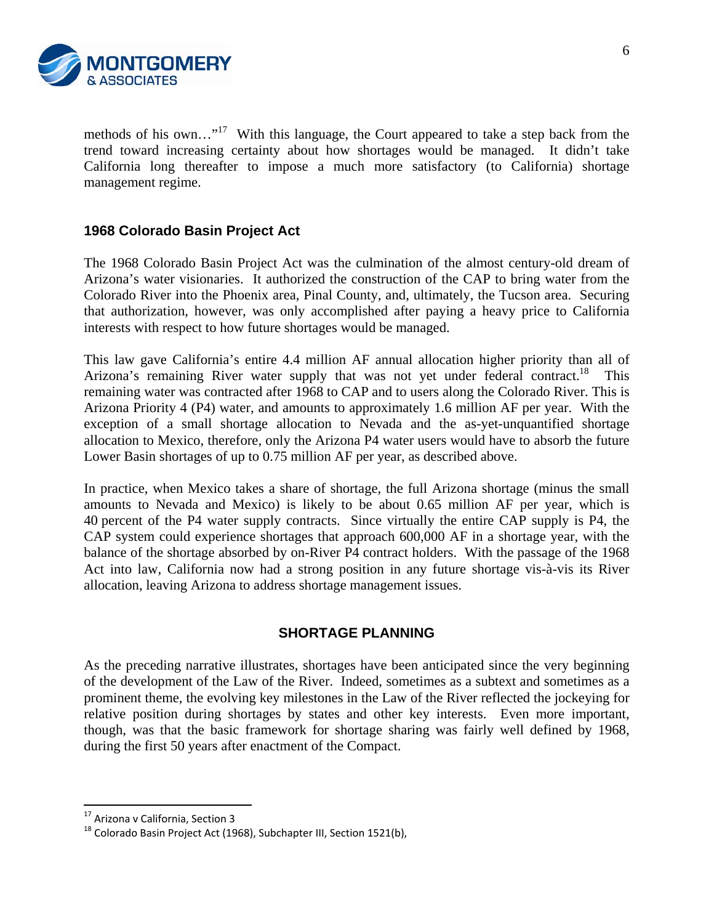

methods of his own..."<sup>17</sup> With this language, the Court appeared to take a step back from the trend toward increasing certainty about how shortages would be managed. It didn't take California long thereafter to impose a much more satisfactory (to California) shortage management regime.

## **1968 Colorado Basin Project Act**

The 1968 Colorado Basin Project Act was the culmination of the almost century-old dream of Arizona's water visionaries. It authorized the construction of the CAP to bring water from the Colorado River into the Phoenix area, Pinal County, and, ultimately, the Tucson area. Securing that authorization, however, was only accomplished after paying a heavy price to California interests with respect to how future shortages would be managed.

This law gave California's entire 4.4 million AF annual allocation higher priority than all of Arizona's remaining River water supply that was not yet under federal contract.<sup>18</sup> This remaining water was contracted after 1968 to CAP and to users along the Colorado River. This is Arizona Priority 4 (P4) water, and amounts to approximately 1.6 million AF per year. With the exception of a small shortage allocation to Nevada and the as-yet-unquantified shortage allocation to Mexico, therefore, only the Arizona P4 water users would have to absorb the future Lower Basin shortages of up to 0.75 million AF per year, as described above.

In practice, when Mexico takes a share of shortage, the full Arizona shortage (minus the small amounts to Nevada and Mexico) is likely to be about 0.65 million AF per year, which is 40 percent of the P4 water supply contracts. Since virtually the entire CAP supply is P4, the CAP system could experience shortages that approach 600,000 AF in a shortage year, with the balance of the shortage absorbed by on-River P4 contract holders. With the passage of the 1968 Act into law, California now had a strong position in any future shortage vis-à-vis its River allocation, leaving Arizona to address shortage management issues.

#### **SHORTAGE PLANNING**

As the preceding narrative illustrates, shortages have been anticipated since the very beginning of the development of the Law of the River. Indeed, sometimes as a subtext and sometimes as a prominent theme, the evolving key milestones in the Law of the River reflected the jockeying for relative position during shortages by states and other key interests. Even more important, though, was that the basic framework for shortage sharing was fairly well defined by 1968, during the first 50 years after enactment of the Compact.

<sup>&</sup>lt;sup>17</sup> Arizona v California, Section 3

 $18$  Colorado Basin Project Act (1968), Subchapter III, Section 1521(b),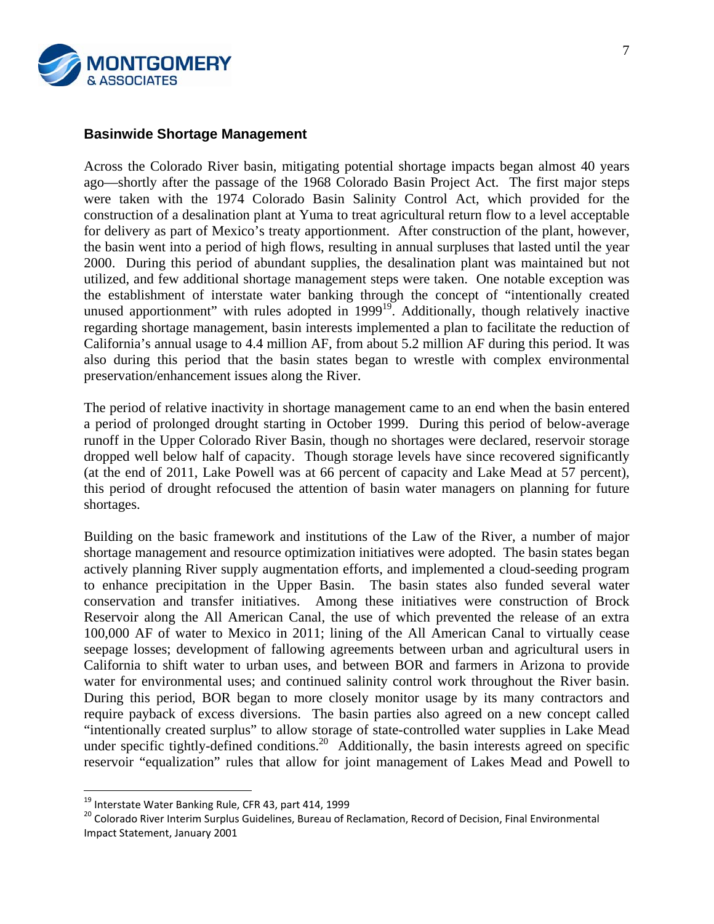

## **Basinwide Shortage Management**

Across the Colorado River basin, mitigating potential shortage impacts began almost 40 years ago—shortly after the passage of the 1968 Colorado Basin Project Act. The first major steps were taken with the 1974 Colorado Basin Salinity Control Act, which provided for the construction of a desalination plant at Yuma to treat agricultural return flow to a level acceptable for delivery as part of Mexico's treaty apportionment. After construction of the plant, however, the basin went into a period of high flows, resulting in annual surpluses that lasted until the year 2000. During this period of abundant supplies, the desalination plant was maintained but not utilized, and few additional shortage management steps were taken. One notable exception was the establishment of interstate water banking through the concept of "intentionally created unused apportionment" with rules adopted in  $1999^{19}$ . Additionally, though relatively inactive regarding shortage management, basin interests implemented a plan to facilitate the reduction of California's annual usage to 4.4 million AF, from about 5.2 million AF during this period. It was also during this period that the basin states began to wrestle with complex environmental preservation/enhancement issues along the River.

The period of relative inactivity in shortage management came to an end when the basin entered a period of prolonged drought starting in October 1999. During this period of below-average runoff in the Upper Colorado River Basin, though no shortages were declared, reservoir storage dropped well below half of capacity. Though storage levels have since recovered significantly (at the end of 2011, Lake Powell was at 66 percent of capacity and Lake Mead at 57 percent), this period of drought refocused the attention of basin water managers on planning for future shortages.

Building on the basic framework and institutions of the Law of the River, a number of major shortage management and resource optimization initiatives were adopted. The basin states began actively planning River supply augmentation efforts, and implemented a cloud-seeding program to enhance precipitation in the Upper Basin. The basin states also funded several water conservation and transfer initiatives. Among these initiatives were construction of Brock Reservoir along the All American Canal, the use of which prevented the release of an extra 100,000 AF of water to Mexico in 2011; lining of the All American Canal to virtually cease seepage losses; development of fallowing agreements between urban and agricultural users in California to shift water to urban uses, and between BOR and farmers in Arizona to provide water for environmental uses; and continued salinity control work throughout the River basin. During this period, BOR began to more closely monitor usage by its many contractors and require payback of excess diversions. The basin parties also agreed on a new concept called "intentionally created surplus" to allow storage of state-controlled water supplies in Lake Mead under specific tightly-defined conditions.<sup>20</sup> Additionally, the basin interests agreed on specific reservoir "equalization" rules that allow for joint management of Lakes Mead and Powell to

<sup>&</sup>lt;sup>19</sup> Interstate Water Banking Rule, CFR 43, part 414, 1999

<sup>&</sup>lt;sup>20</sup> Colorado River Interim Surplus Guidelines, Bureau of Reclamation, Record of Decision, Final Environmental Impact Statement, January 2001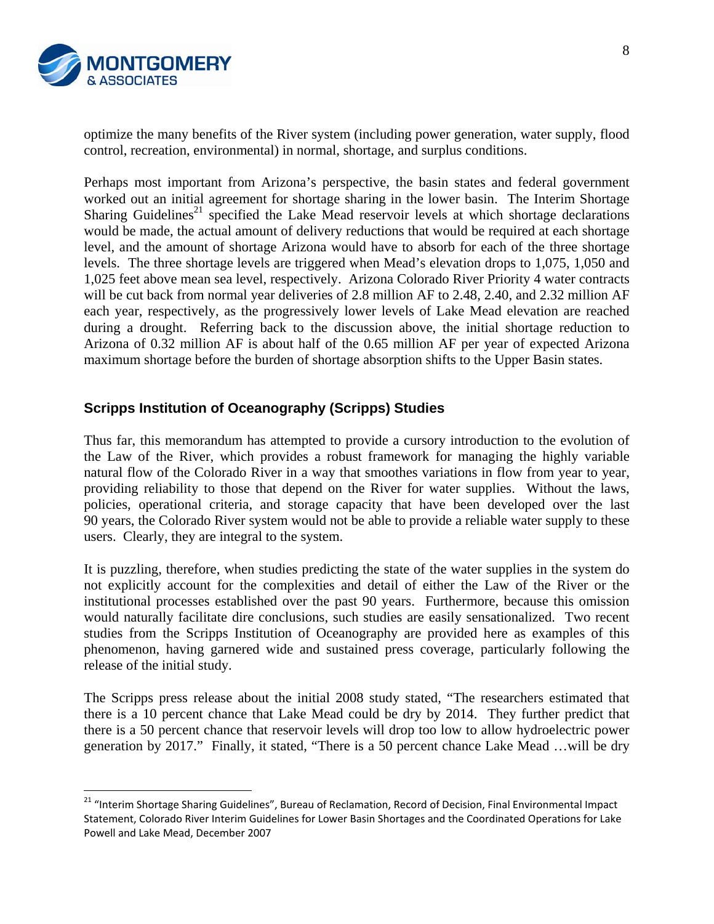

optimize the many benefits of the River system (including power generation, water supply, flood control, recreation, environmental) in normal, shortage, and surplus conditions.

Perhaps most important from Arizona's perspective, the basin states and federal government worked out an initial agreement for shortage sharing in the lower basin. The Interim Shortage Sharing Guidelines<sup>21</sup> specified the Lake Mead reservoir levels at which shortage declarations would be made, the actual amount of delivery reductions that would be required at each shortage level, and the amount of shortage Arizona would have to absorb for each of the three shortage levels. The three shortage levels are triggered when Mead's elevation drops to 1,075, 1,050 and 1,025 feet above mean sea level, respectively. Arizona Colorado River Priority 4 water contracts will be cut back from normal year deliveries of 2.8 million AF to 2.48, 2.40, and 2.32 million AF each year, respectively, as the progressively lower levels of Lake Mead elevation are reached during a drought. Referring back to the discussion above, the initial shortage reduction to Arizona of 0.32 million AF is about half of the 0.65 million AF per year of expected Arizona maximum shortage before the burden of shortage absorption shifts to the Upper Basin states.

## **Scripps Institution of Oceanography (Scripps) Studies**

Thus far, this memorandum has attempted to provide a cursory introduction to the evolution of the Law of the River, which provides a robust framework for managing the highly variable natural flow of the Colorado River in a way that smoothes variations in flow from year to year, providing reliability to those that depend on the River for water supplies. Without the laws, policies, operational criteria, and storage capacity that have been developed over the last 90 years, the Colorado River system would not be able to provide a reliable water supply to these users. Clearly, they are integral to the system.

It is puzzling, therefore, when studies predicting the state of the water supplies in the system do not explicitly account for the complexities and detail of either the Law of the River or the institutional processes established over the past 90 years. Furthermore, because this omission would naturally facilitate dire conclusions, such studies are easily sensationalized. Two recent studies from the Scripps Institution of Oceanography are provided here as examples of this phenomenon, having garnered wide and sustained press coverage, particularly following the release of the initial study.

The Scripps press release about the initial 2008 study stated, "The researchers estimated that there is a 10 percent chance that Lake Mead could be dry by 2014. They further predict that there is a 50 percent chance that reservoir levels will drop too low to allow hydroelectric power generation by 2017." Finally, it stated, "There is a 50 percent chance Lake Mead …will be dry

<sup>&</sup>lt;sup>21</sup> "Interim Shortage Sharing Guidelines", Bureau of Reclamation, Record of Decision, Final Environmental Impact Statement, Colorado River Interim Guidelines for Lower Basin Shortages and the Coordinated Operations for Lake Powell and Lake Mead, December 2007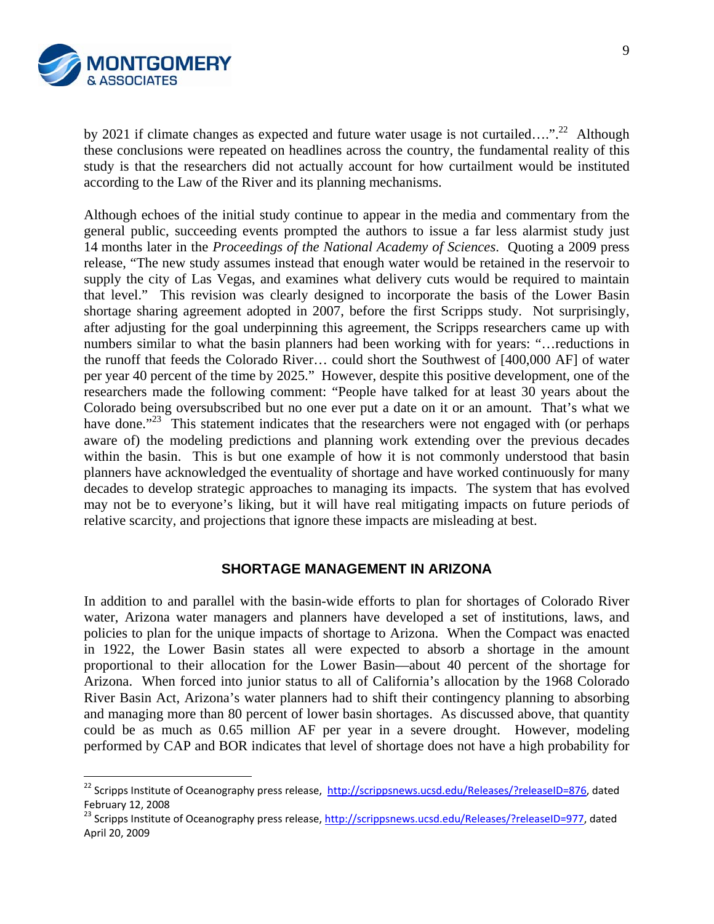

by 2021 if climate changes as expected and future water usage is not curtailed....".<sup>22</sup> Although these conclusions were repeated on headlines across the country, the fundamental reality of this study is that the researchers did not actually account for how curtailment would be instituted according to the Law of the River and its planning mechanisms.

Although echoes of the initial study continue to appear in the media and commentary from the general public, succeeding events prompted the authors to issue a far less alarmist study just 14 months later in the *Proceedings of the National Academy of Sciences*. Quoting a 2009 press release, "The new study assumes instead that enough water would be retained in the reservoir to supply the city of Las Vegas, and examines what delivery cuts would be required to maintain that level." This revision was clearly designed to incorporate the basis of the Lower Basin shortage sharing agreement adopted in 2007, before the first Scripps study. Not surprisingly, after adjusting for the goal underpinning this agreement, the Scripps researchers came up with numbers similar to what the basin planners had been working with for years: "…reductions in the runoff that feeds the Colorado River… could short the Southwest of [400,000 AF] of water per year 40 percent of the time by 2025." However, despite this positive development, one of the researchers made the following comment: "People have talked for at least 30 years about the Colorado being oversubscribed but no one ever put a date on it or an amount. That's what we have done."<sup>23</sup> This statement indicates that the researchers were not engaged with (or perhaps aware of) the modeling predictions and planning work extending over the previous decades within the basin. This is but one example of how it is not commonly understood that basin planners have acknowledged the eventuality of shortage and have worked continuously for many decades to develop strategic approaches to managing its impacts. The system that has evolved may not be to everyone's liking, but it will have real mitigating impacts on future periods of relative scarcity, and projections that ignore these impacts are misleading at best.

#### **SHORTAGE MANAGEMENT IN ARIZONA**

In addition to and parallel with the basin-wide efforts to plan for shortages of Colorado River water, Arizona water managers and planners have developed a set of institutions, laws, and policies to plan for the unique impacts of shortage to Arizona. When the Compact was enacted in 1922, the Lower Basin states all were expected to absorb a shortage in the amount proportional to their allocation for the Lower Basin—about 40 percent of the shortage for Arizona. When forced into junior status to all of California's allocation by the 1968 Colorado River Basin Act, Arizona's water planners had to shift their contingency planning to absorbing and managing more than 80 percent of lower basin shortages. As discussed above, that quantity could be as much as 0.65 million AF per year in a severe drought. However, modeling performed by CAP and BOR indicates that level of shortage does not have a high probability for

<sup>&</sup>lt;sup>22</sup> Scripps Institute of Oceanography press release, http://scrippsnews.ucsd.edu/Releases/?releaseID=876, dated February 12, 2008<br><sup>23</sup> Scripps Institute of Oceanography press release, http://scrippsnews.ucsd.edu/Releases/?releaseID=977, dated

April 20, 2009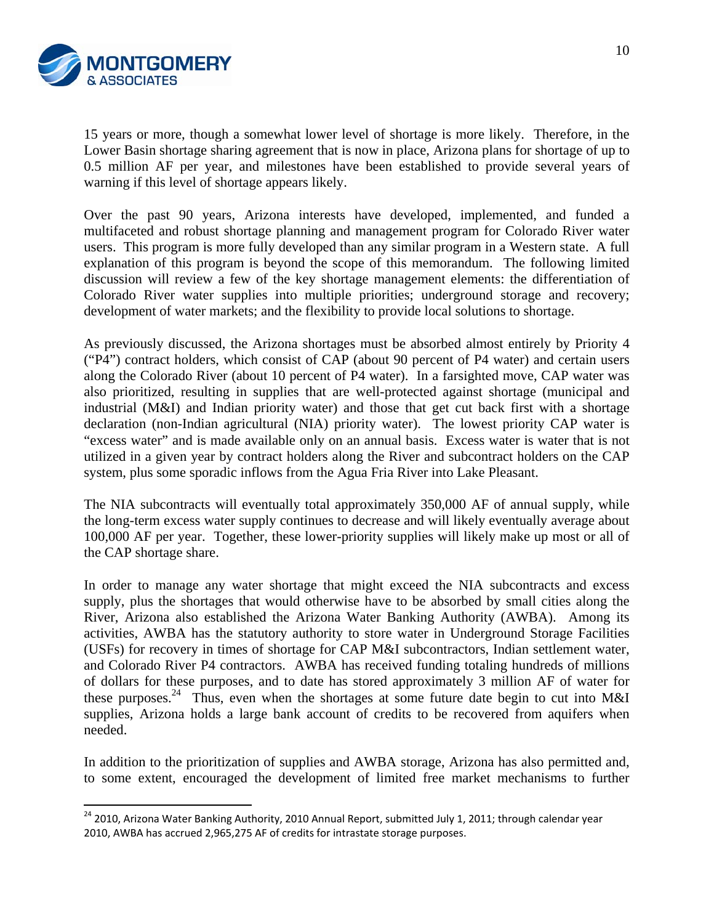

1

15 years or more, though a somewhat lower level of shortage is more likely. Therefore, in the Lower Basin shortage sharing agreement that is now in place, Arizona plans for shortage of up to 0.5 million AF per year, and milestones have been established to provide several years of warning if this level of shortage appears likely.

Over the past 90 years, Arizona interests have developed, implemented, and funded a multifaceted and robust shortage planning and management program for Colorado River water users. This program is more fully developed than any similar program in a Western state. A full explanation of this program is beyond the scope of this memorandum. The following limited discussion will review a few of the key shortage management elements: the differentiation of Colorado River water supplies into multiple priorities; underground storage and recovery; development of water markets; and the flexibility to provide local solutions to shortage.

As previously discussed, the Arizona shortages must be absorbed almost entirely by Priority 4 ("P4") contract holders, which consist of CAP (about 90 percent of P4 water) and certain users along the Colorado River (about 10 percent of P4 water). In a farsighted move, CAP water was also prioritized, resulting in supplies that are well-protected against shortage (municipal and industrial (M&I) and Indian priority water) and those that get cut back first with a shortage declaration (non-Indian agricultural (NIA) priority water). The lowest priority CAP water is "excess water" and is made available only on an annual basis. Excess water is water that is not utilized in a given year by contract holders along the River and subcontract holders on the CAP system, plus some sporadic inflows from the Agua Fria River into Lake Pleasant.

The NIA subcontracts will eventually total approximately 350,000 AF of annual supply, while the long-term excess water supply continues to decrease and will likely eventually average about 100,000 AF per year. Together, these lower-priority supplies will likely make up most or all of the CAP shortage share.

In order to manage any water shortage that might exceed the NIA subcontracts and excess supply, plus the shortages that would otherwise have to be absorbed by small cities along the River, Arizona also established the Arizona Water Banking Authority (AWBA). Among its activities, AWBA has the statutory authority to store water in Underground Storage Facilities (USFs) for recovery in times of shortage for CAP M&I subcontractors, Indian settlement water, and Colorado River P4 contractors. AWBA has received funding totaling hundreds of millions of dollars for these purposes, and to date has stored approximately 3 million AF of water for these purposes.<sup>24</sup> Thus, even when the shortages at some future date begin to cut into M&I supplies, Arizona holds a large bank account of credits to be recovered from aquifers when needed.

In addition to the prioritization of supplies and AWBA storage, Arizona has also permitted and, to some extent, encouraged the development of limited free market mechanisms to further

<sup>&</sup>lt;sup>24</sup> 2010, Arizona Water Banking Authority, 2010 Annual Report, submitted July 1, 2011; through calendar year 2010, AWBA has accrued 2,965,275 AF of credits for intrastate storage purposes.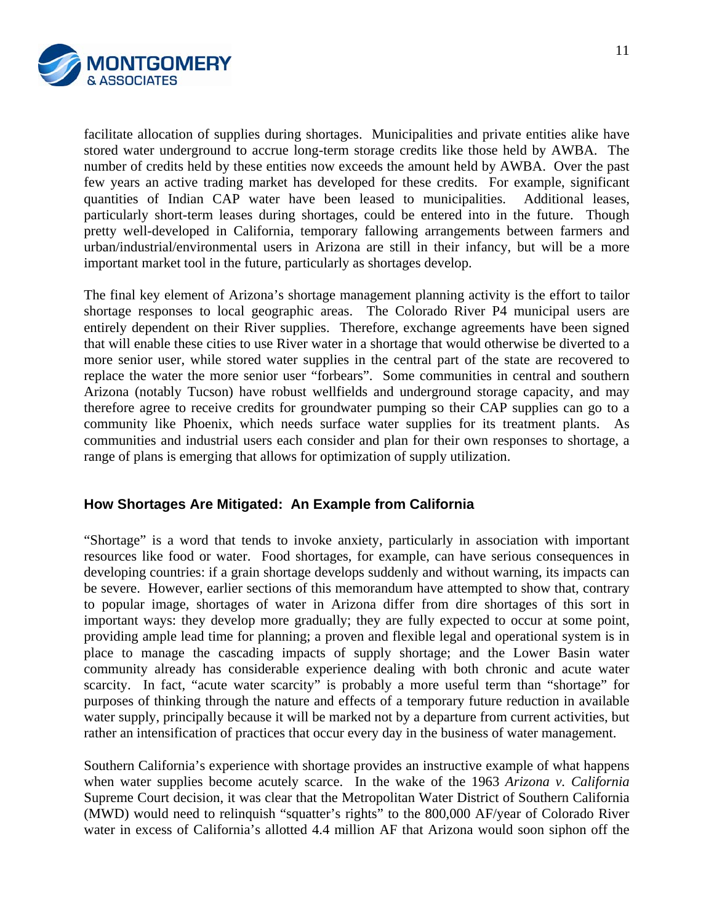

facilitate allocation of supplies during shortages. Municipalities and private entities alike have stored water underground to accrue long-term storage credits like those held by AWBA. The number of credits held by these entities now exceeds the amount held by AWBA. Over the past few years an active trading market has developed for these credits. For example, significant quantities of Indian CAP water have been leased to municipalities. Additional leases, particularly short-term leases during shortages, could be entered into in the future. Though pretty well-developed in California, temporary fallowing arrangements between farmers and urban/industrial/environmental users in Arizona are still in their infancy, but will be a more important market tool in the future, particularly as shortages develop.

The final key element of Arizona's shortage management planning activity is the effort to tailor shortage responses to local geographic areas. The Colorado River P4 municipal users are entirely dependent on their River supplies. Therefore, exchange agreements have been signed that will enable these cities to use River water in a shortage that would otherwise be diverted to a more senior user, while stored water supplies in the central part of the state are recovered to replace the water the more senior user "forbears". Some communities in central and southern Arizona (notably Tucson) have robust wellfields and underground storage capacity, and may therefore agree to receive credits for groundwater pumping so their CAP supplies can go to a community like Phoenix, which needs surface water supplies for its treatment plants. As communities and industrial users each consider and plan for their own responses to shortage, a range of plans is emerging that allows for optimization of supply utilization.

## **How Shortages Are Mitigated: An Example from California**

"Shortage" is a word that tends to invoke anxiety, particularly in association with important resources like food or water. Food shortages, for example, can have serious consequences in developing countries: if a grain shortage develops suddenly and without warning, its impacts can be severe. However, earlier sections of this memorandum have attempted to show that, contrary to popular image, shortages of water in Arizona differ from dire shortages of this sort in important ways: they develop more gradually; they are fully expected to occur at some point, providing ample lead time for planning; a proven and flexible legal and operational system is in place to manage the cascading impacts of supply shortage; and the Lower Basin water community already has considerable experience dealing with both chronic and acute water scarcity. In fact, "acute water scarcity" is probably a more useful term than "shortage" for purposes of thinking through the nature and effects of a temporary future reduction in available water supply, principally because it will be marked not by a departure from current activities, but rather an intensification of practices that occur every day in the business of water management.

Southern California's experience with shortage provides an instructive example of what happens when water supplies become acutely scarce. In the wake of the 1963 *Arizona v. California* Supreme Court decision, it was clear that the Metropolitan Water District of Southern California (MWD) would need to relinquish "squatter's rights" to the 800,000 AF/year of Colorado River water in excess of California's allotted 4.4 million AF that Arizona would soon siphon off the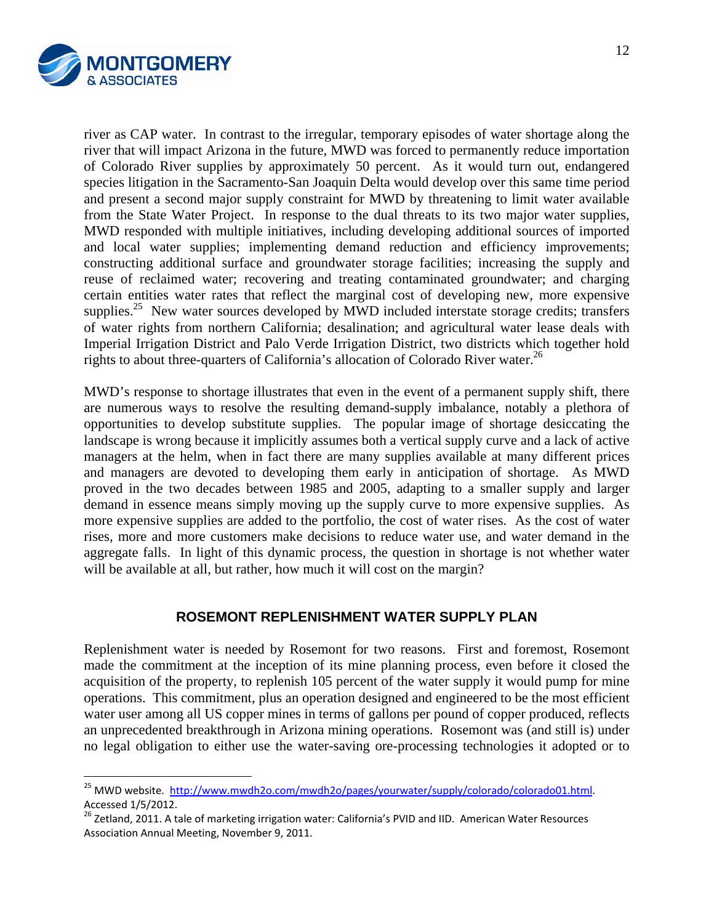

river as CAP water. In contrast to the irregular, temporary episodes of water shortage along the river that will impact Arizona in the future, MWD was forced to permanently reduce importation of Colorado River supplies by approximately 50 percent. As it would turn out, endangered species litigation in the Sacramento-San Joaquin Delta would develop over this same time period and present a second major supply constraint for MWD by threatening to limit water available from the State Water Project. In response to the dual threats to its two major water supplies, MWD responded with multiple initiatives, including developing additional sources of imported and local water supplies; implementing demand reduction and efficiency improvements; constructing additional surface and groundwater storage facilities; increasing the supply and reuse of reclaimed water; recovering and treating contaminated groundwater; and charging certain entities water rates that reflect the marginal cost of developing new, more expensive supplies.<sup>25</sup> New water sources developed by MWD included interstate storage credits; transfers of water rights from northern California; desalination; and agricultural water lease deals with Imperial Irrigation District and Palo Verde Irrigation District, two districts which together hold rights to about three-quarters of California's allocation of Colorado River water.<sup>26</sup>

MWD's response to shortage illustrates that even in the event of a permanent supply shift, there are numerous ways to resolve the resulting demand-supply imbalance, notably a plethora of opportunities to develop substitute supplies. The popular image of shortage desiccating the landscape is wrong because it implicitly assumes both a vertical supply curve and a lack of active managers at the helm, when in fact there are many supplies available at many different prices and managers are devoted to developing them early in anticipation of shortage. As MWD proved in the two decades between 1985 and 2005, adapting to a smaller supply and larger demand in essence means simply moving up the supply curve to more expensive supplies. As more expensive supplies are added to the portfolio, the cost of water rises. As the cost of water rises, more and more customers make decisions to reduce water use, and water demand in the aggregate falls. In light of this dynamic process, the question in shortage is not whether water will be available at all, but rather, how much it will cost on the margin?

## **ROSEMONT REPLENISHMENT WATER SUPPLY PLAN**

Replenishment water is needed by Rosemont for two reasons. First and foremost, Rosemont made the commitment at the inception of its mine planning process, even before it closed the acquisition of the property, to replenish 105 percent of the water supply it would pump for mine operations. This commitment, plus an operation designed and engineered to be the most efficient water user among all US copper mines in terms of gallons per pound of copper produced, reflects an unprecedented breakthrough in Arizona mining operations. Rosemont was (and still is) under no legal obligation to either use the water-saving ore-processing technologies it adopted or to

<sup>&</sup>lt;sup>25</sup> MWD website. http://www.mwdh2o.com/mwdh2o/pages/yourwater/supply/colorado/colorado01.html. Accessed 1/5/2012.<br><sup>26</sup> Zetland, 2011. A tale of marketing irrigation water: California's PVID and IID. American Water Resources

Association Annual Meeting, November 9, 2011.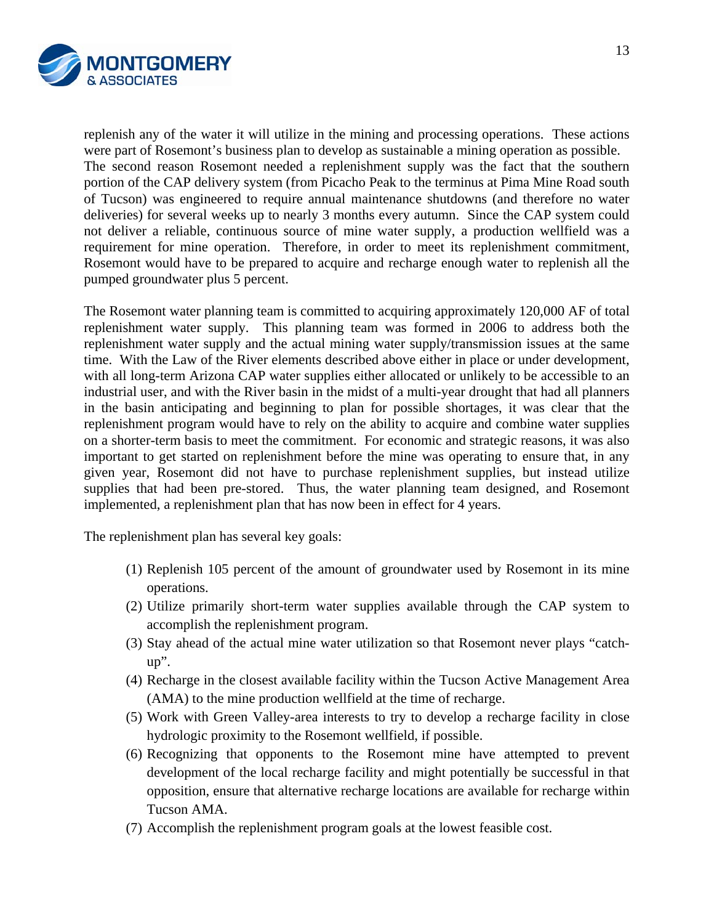

replenish any of the water it will utilize in the mining and processing operations. These actions were part of Rosemont's business plan to develop as sustainable a mining operation as possible. The second reason Rosemont needed a replenishment supply was the fact that the southern portion of the CAP delivery system (from Picacho Peak to the terminus at Pima Mine Road south of Tucson) was engineered to require annual maintenance shutdowns (and therefore no water deliveries) for several weeks up to nearly 3 months every autumn. Since the CAP system could not deliver a reliable, continuous source of mine water supply, a production wellfield was a requirement for mine operation. Therefore, in order to meet its replenishment commitment, Rosemont would have to be prepared to acquire and recharge enough water to replenish all the pumped groundwater plus 5 percent.

The Rosemont water planning team is committed to acquiring approximately 120,000 AF of total replenishment water supply. This planning team was formed in 2006 to address both the replenishment water supply and the actual mining water supply/transmission issues at the same time. With the Law of the River elements described above either in place or under development, with all long-term Arizona CAP water supplies either allocated or unlikely to be accessible to an industrial user, and with the River basin in the midst of a multi-year drought that had all planners in the basin anticipating and beginning to plan for possible shortages, it was clear that the replenishment program would have to rely on the ability to acquire and combine water supplies on a shorter-term basis to meet the commitment. For economic and strategic reasons, it was also important to get started on replenishment before the mine was operating to ensure that, in any given year, Rosemont did not have to purchase replenishment supplies, but instead utilize supplies that had been pre-stored. Thus, the water planning team designed, and Rosemont implemented, a replenishment plan that has now been in effect for 4 years.

The replenishment plan has several key goals:

- (1) Replenish 105 percent of the amount of groundwater used by Rosemont in its mine operations.
- (2) Utilize primarily short-term water supplies available through the CAP system to accomplish the replenishment program.
- (3) Stay ahead of the actual mine water utilization so that Rosemont never plays "catchup".
- (4) Recharge in the closest available facility within the Tucson Active Management Area (AMA) to the mine production wellfield at the time of recharge.
- (5) Work with Green Valley-area interests to try to develop a recharge facility in close hydrologic proximity to the Rosemont wellfield, if possible.
- (6) Recognizing that opponents to the Rosemont mine have attempted to prevent development of the local recharge facility and might potentially be successful in that opposition, ensure that alternative recharge locations are available for recharge within Tucson AMA.
- (7) Accomplish the replenishment program goals at the lowest feasible cost.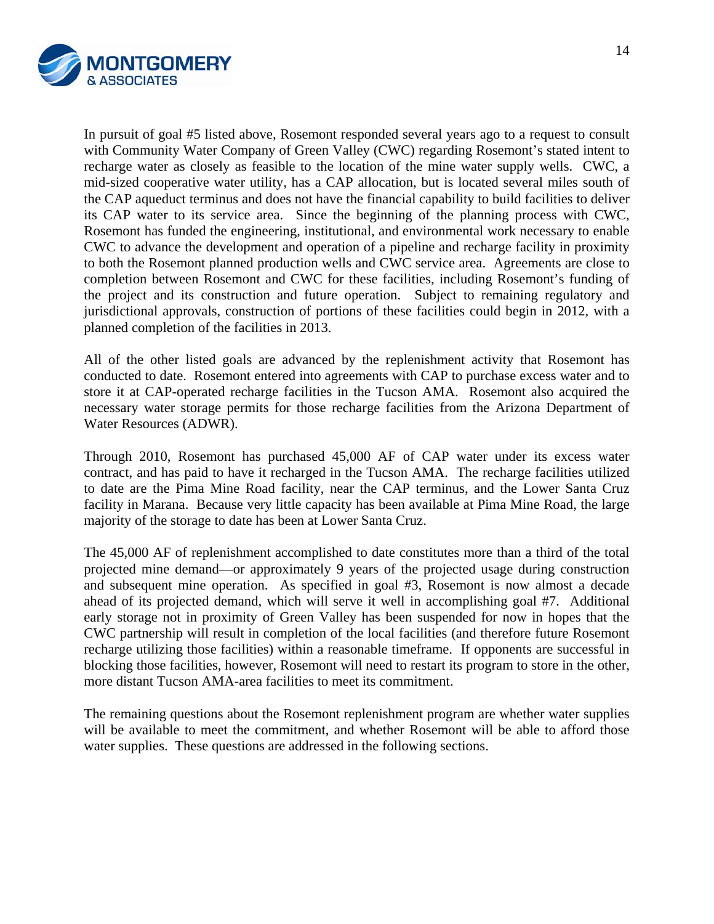

In pursuit of goal #5 listed above, Rosemont responded several years ago to a request to consult with Community Water Company of Green Valley (CWC) regarding Rosemont's stated intent to recharge water as closely as feasible to the location of the mine water supply wells. CWC, a mid-sized cooperative water utility, has a CAP allocation, but is located several miles south of the CAP aqueduct terminus and does not have the financial capability to build facilities to deliver its CAP water to its service area. Since the beginning of the planning process with CWC, Rosemont has funded the engineering, institutional, and environmental work necessary to enable CWC to advance the development and operation of a pipeline and recharge facility in proximity to both the Rosemont planned production wells and CWC service area. Agreements are close to completion between Rosemont and CWC for these facilities, including Rosemont's funding of the project and its construction and future operation. Subject to remaining regulatory and jurisdictional approvals, construction of portions of these facilities could begin in 2012, with a planned completion of the facilities in 2013.

All of the other listed goals are advanced by the replenishment activity that Rosemont has conducted to date. Rosemont entered into agreements with CAP to purchase excess water and to store it at CAP-operated recharge facilities in the Tucson AMA. Rosemont also acquired the necessary water storage permits for those recharge facilities from the Arizona Department of Water Resources (ADWR).

Through 2010, Rosemont has purchased 45,000 AF of CAP water under its excess water contract, and has paid to have it recharged in the Tucson AMA. The recharge facilities utilized to date are the Pima Mine Road facility, near the CAP terminus, and the Lower Santa Cruz facility in Marana. Because very little capacity has been available at Pima Mine Road, the large majority of the storage to date has been at Lower Santa Cruz.

The 45,000 AF of replenishment accomplished to date constitutes more than a third of the total projected mine demand—or approximately 9 years of the projected usage during construction and subsequent mine operation. As specified in goal #3, Rosemont is now almost a decade ahead of its projected demand, which will serve it well in accomplishing goal #7. Additional early storage not in proximity of Green Valley has been suspended for now in hopes that the CWC partnership will result in completion of the local facilities (and therefore future Rosemont recharge utilizing those facilities) within a reasonable timeframe. If opponents are successful in blocking those facilities, however, Rosemont will need to restart its program to store in the other, more distant Tucson AMA-area facilities to meet its commitment.

The remaining questions about the Rosemont replenishment program are whether water supplies will be available to meet the commitment, and whether Rosemont will be able to afford those water supplies. These questions are addressed in the following sections.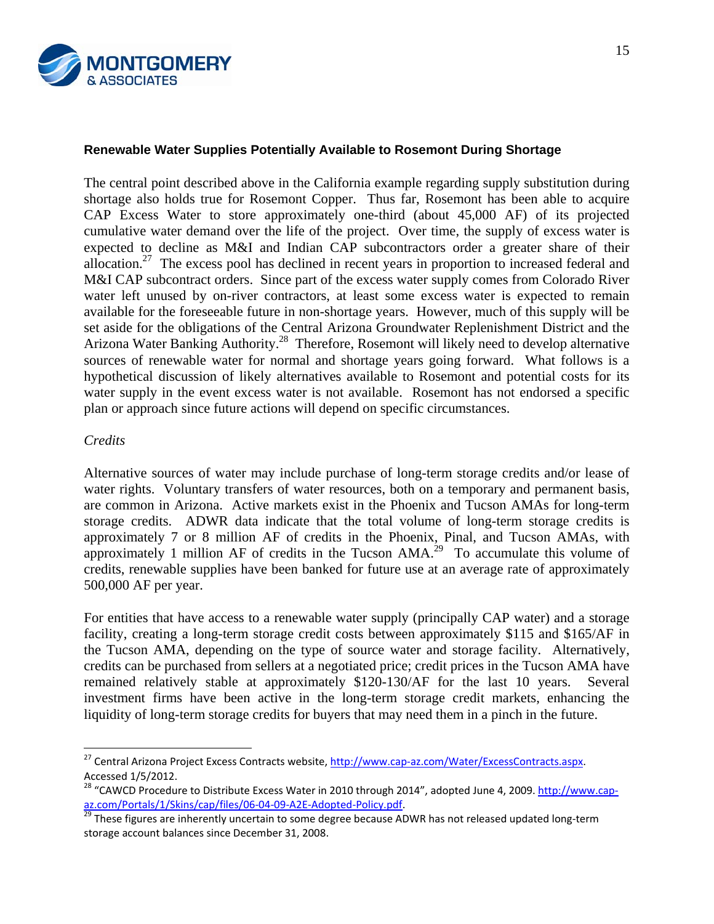

#### **Renewable Water Supplies Potentially Available to Rosemont During Shortage**

The central point described above in the California example regarding supply substitution during shortage also holds true for Rosemont Copper. Thus far, Rosemont has been able to acquire CAP Excess Water to store approximately one-third (about 45,000 AF) of its projected cumulative water demand over the life of the project. Over time, the supply of excess water is expected to decline as M&I and Indian CAP subcontractors order a greater share of their allocation.<sup>27</sup> The excess pool has declined in recent years in proportion to increased federal and M&I CAP subcontract orders. Since part of the excess water supply comes from Colorado River water left unused by on-river contractors, at least some excess water is expected to remain available for the foreseeable future in non-shortage years. However, much of this supply will be set aside for the obligations of the Central Arizona Groundwater Replenishment District and the Arizona Water Banking Authority.28 Therefore, Rosemont will likely need to develop alternative sources of renewable water for normal and shortage years going forward. What follows is a hypothetical discussion of likely alternatives available to Rosemont and potential costs for its water supply in the event excess water is not available. Rosemont has not endorsed a specific plan or approach since future actions will depend on specific circumstances.

#### *Credits*

 $\overline{a}$ 

Alternative sources of water may include purchase of long-term storage credits and/or lease of water rights. Voluntary transfers of water resources, both on a temporary and permanent basis, are common in Arizona. Active markets exist in the Phoenix and Tucson AMAs for long-term storage credits. ADWR data indicate that the total volume of long-term storage credits is approximately 7 or 8 million AF of credits in the Phoenix, Pinal, and Tucson AMAs, with approximately 1 million AF of credits in the Tucson  $AMA<sup>29</sup>$  To accumulate this volume of credits, renewable supplies have been banked for future use at an average rate of approximately 500,000 AF per year.

For entities that have access to a renewable water supply (principally CAP water) and a storage facility, creating a long-term storage credit costs between approximately \$115 and \$165/AF in the Tucson AMA, depending on the type of source water and storage facility. Alternatively, credits can be purchased from sellers at a negotiated price; credit prices in the Tucson AMA have remained relatively stable at approximately \$120-130/AF for the last 10 years. Several investment firms have been active in the long-term storage credit markets, enhancing the liquidity of long-term storage credits for buyers that may need them in a pinch in the future.

<sup>&</sup>lt;sup>27</sup> Central Arizona Project Excess Contracts website, <u>http://www.cap-az.com/Water/ExcessContracts.aspx</u>. Accessed 1/5/2012.<br><sup>28</sup> "CAWCD Procedure to Distribute Excess Water in 2010 through 2014", adopted June 4, 2009. http://www.cap-

az.com/Portals/1/Skins/cap/files/06-04-09-A2E-Adopted-Policy.pdf.<br>
 <sup>29</sup> These figures are inherently uncertain to some degree because ADWR has not released updated long-term

storage account balances since December 31, 2008.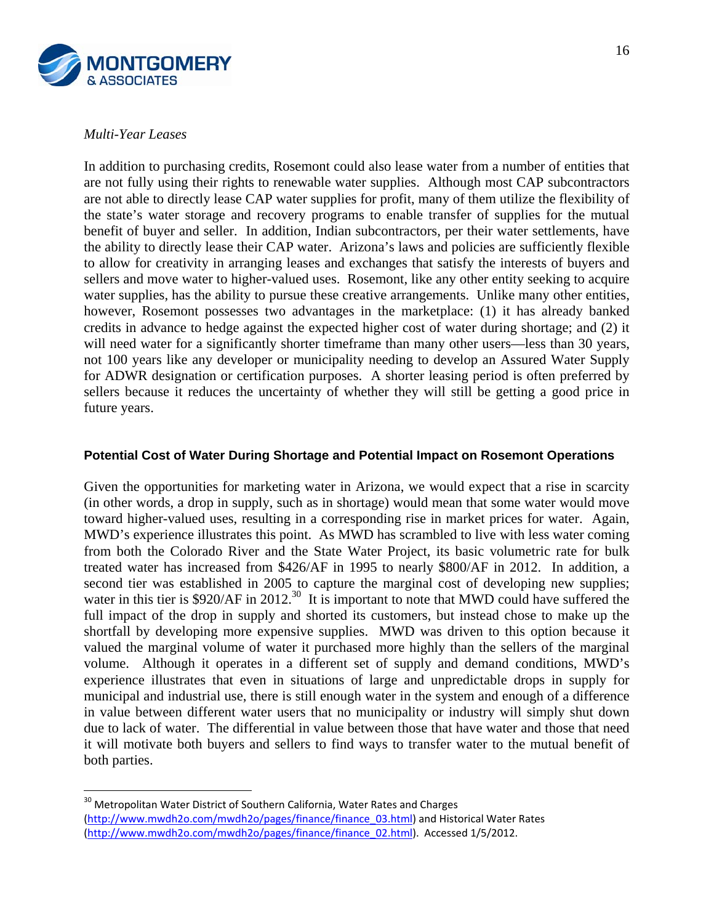

#### *Multi-Year Leases*

 $\overline{a}$ 

In addition to purchasing credits, Rosemont could also lease water from a number of entities that are not fully using their rights to renewable water supplies. Although most CAP subcontractors are not able to directly lease CAP water supplies for profit, many of them utilize the flexibility of the state's water storage and recovery programs to enable transfer of supplies for the mutual benefit of buyer and seller. In addition, Indian subcontractors, per their water settlements, have the ability to directly lease their CAP water. Arizona's laws and policies are sufficiently flexible to allow for creativity in arranging leases and exchanges that satisfy the interests of buyers and sellers and move water to higher-valued uses. Rosemont, like any other entity seeking to acquire water supplies, has the ability to pursue these creative arrangements. Unlike many other entities, however, Rosemont possesses two advantages in the marketplace: (1) it has already banked credits in advance to hedge against the expected higher cost of water during shortage; and (2) it will need water for a significantly shorter timeframe than many other users—less than 30 years, not 100 years like any developer or municipality needing to develop an Assured Water Supply for ADWR designation or certification purposes. A shorter leasing period is often preferred by sellers because it reduces the uncertainty of whether they will still be getting a good price in future years.

#### **Potential Cost of Water During Shortage and Potential Impact on Rosemont Operations**

Given the opportunities for marketing water in Arizona, we would expect that a rise in scarcity (in other words, a drop in supply, such as in shortage) would mean that some water would move toward higher-valued uses, resulting in a corresponding rise in market prices for water. Again, MWD's experience illustrates this point. As MWD has scrambled to live with less water coming from both the Colorado River and the State Water Project, its basic volumetric rate for bulk treated water has increased from \$426/AF in 1995 to nearly \$800/AF in 2012. In addition, a second tier was established in 2005 to capture the marginal cost of developing new supplies; water in this tier is  $$920/AF$  in 2012.<sup>30</sup> It is important to note that MWD could have suffered the full impact of the drop in supply and shorted its customers, but instead chose to make up the shortfall by developing more expensive supplies. MWD was driven to this option because it valued the marginal volume of water it purchased more highly than the sellers of the marginal volume. Although it operates in a different set of supply and demand conditions, MWD's experience illustrates that even in situations of large and unpredictable drops in supply for municipal and industrial use, there is still enough water in the system and enough of a difference in value between different water users that no municipality or industry will simply shut down due to lack of water. The differential in value between those that have water and those that need it will motivate both buyers and sellers to find ways to transfer water to the mutual benefit of both parties.

 $^{30}$  Metropolitan Water District of Southern California, Water Rates and Charges (http://www.mwdh2o.com/mwdh2o/pages/finance/finance\_03.html) and Historical Water Rates (http://www.mwdh2o.com/mwdh2o/pages/finance/finance\_02.html). Accessed 1/5/2012.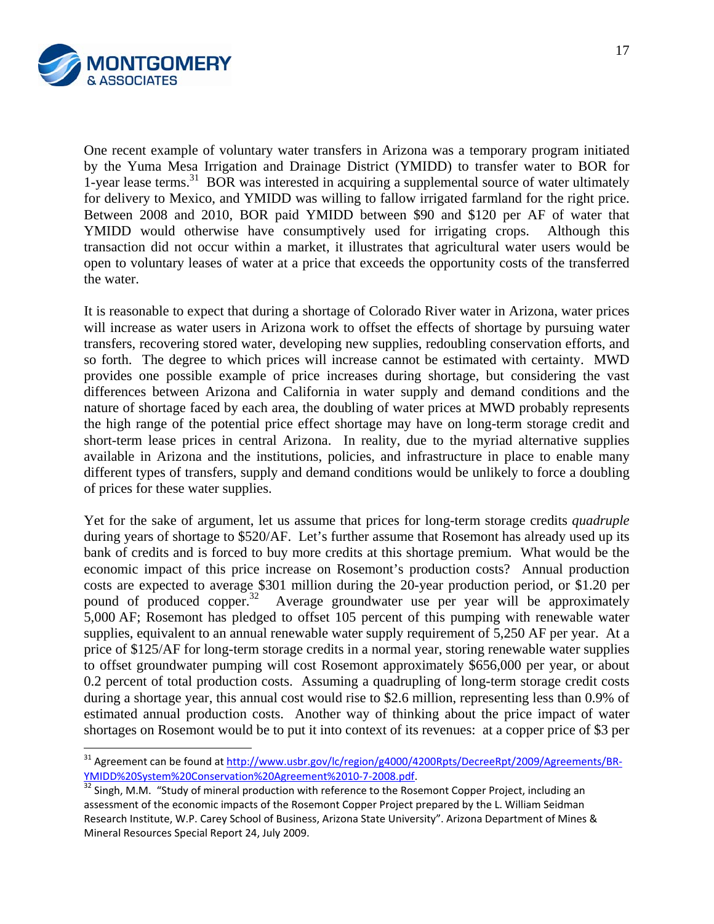

One recent example of voluntary water transfers in Arizona was a temporary program initiated by the Yuma Mesa Irrigation and Drainage District (YMIDD) to transfer water to BOR for 1-year lease terms.<sup>31</sup> BOR was interested in acquiring a supplemental source of water ultimately for delivery to Mexico, and YMIDD was willing to fallow irrigated farmland for the right price. Between 2008 and 2010, BOR paid YMIDD between \$90 and \$120 per AF of water that YMIDD would otherwise have consumptively used for irrigating crops. Although this transaction did not occur within a market, it illustrates that agricultural water users would be open to voluntary leases of water at a price that exceeds the opportunity costs of the transferred the water.

It is reasonable to expect that during a shortage of Colorado River water in Arizona, water prices will increase as water users in Arizona work to offset the effects of shortage by pursuing water transfers, recovering stored water, developing new supplies, redoubling conservation efforts, and so forth. The degree to which prices will increase cannot be estimated with certainty. MWD provides one possible example of price increases during shortage, but considering the vast differences between Arizona and California in water supply and demand conditions and the nature of shortage faced by each area, the doubling of water prices at MWD probably represents the high range of the potential price effect shortage may have on long-term storage credit and short-term lease prices in central Arizona. In reality, due to the myriad alternative supplies available in Arizona and the institutions, policies, and infrastructure in place to enable many different types of transfers, supply and demand conditions would be unlikely to force a doubling of prices for these water supplies.

Yet for the sake of argument, let us assume that prices for long-term storage credits *quadruple* during years of shortage to \$520/AF. Let's further assume that Rosemont has already used up its bank of credits and is forced to buy more credits at this shortage premium. What would be the economic impact of this price increase on Rosemont's production costs? Annual production costs are expected to average \$301 million during the 20-year production period, or \$1.20 per pound of produced copper.<sup>32</sup> Average groundwater use per year will be approximately 5,000 AF; Rosemont has pledged to offset 105 percent of this pumping with renewable water supplies, equivalent to an annual renewable water supply requirement of 5,250 AF per year. At a price of \$125/AF for long-term storage credits in a normal year, storing renewable water supplies to offset groundwater pumping will cost Rosemont approximately \$656,000 per year, or about 0.2 percent of total production costs. Assuming a quadrupling of long-term storage credit costs during a shortage year, this annual cost would rise to \$2.6 million, representing less than 0.9% of estimated annual production costs. Another way of thinking about the price impact of water shortages on Rosemont would be to put it into context of its revenues: at a copper price of \$3 per

<sup>&</sup>lt;sup>31</sup> Agreement can be found at <u>http://www.usbr.gov/lc/region/g4000/4200Rpts/DecreeRpt/2009/Agreements/BR-</u>

YMIDD%20System%20Conservation%20Agreement%2010-7-2008.pdf.<br><sup>32</sup> Singh, M.M. "Study of mineral production with reference to the Rosemont Copper Project, including an assessment of the economic impacts of the Rosemont Copper Project prepared by the L. William Seidman Research Institute, W.P. Carey School of Business, Arizona State University". Arizona Department of Mines & Mineral Resources Special Report 24, July 2009.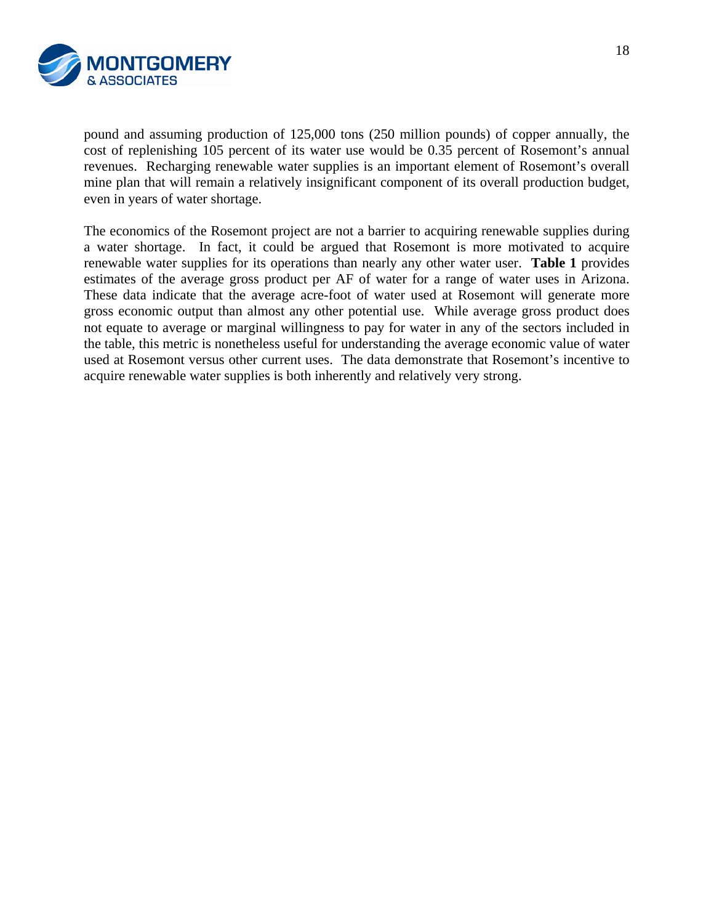

pound and assuming production of 125,000 tons (250 million pounds) of copper annually, the cost of replenishing 105 percent of its water use would be 0.35 percent of Rosemont's annual revenues. Recharging renewable water supplies is an important element of Rosemont's overall mine plan that will remain a relatively insignificant component of its overall production budget, even in years of water shortage.

The economics of the Rosemont project are not a barrier to acquiring renewable supplies during a water shortage. In fact, it could be argued that Rosemont is more motivated to acquire renewable water supplies for its operations than nearly any other water user. **Table 1** provides estimates of the average gross product per AF of water for a range of water uses in Arizona. These data indicate that the average acre-foot of water used at Rosemont will generate more gross economic output than almost any other potential use. While average gross product does not equate to average or marginal willingness to pay for water in any of the sectors included in the table, this metric is nonetheless useful for understanding the average economic value of water used at Rosemont versus other current uses. The data demonstrate that Rosemont's incentive to acquire renewable water supplies is both inherently and relatively very strong.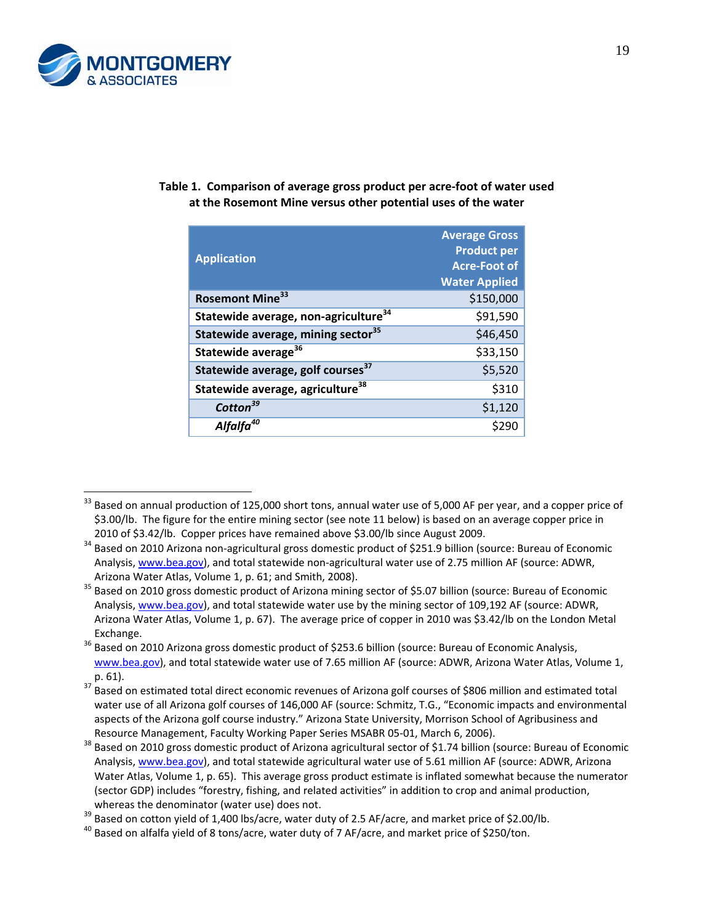

|                                                               | Table 1. Comparison of average gross product per acre-foot of water used |
|---------------------------------------------------------------|--------------------------------------------------------------------------|
| at the Rosemont Mine versus other potential uses of the water |                                                                          |

| <b>Application</b>                               | <b>Average Gross</b><br><b>Product per</b><br><b>Acre-Foot of</b><br><b>Water Applied</b> |
|--------------------------------------------------|-------------------------------------------------------------------------------------------|
| Rosemont Mine <sup>33</sup>                      | \$150,000                                                                                 |
| Statewide average, non-agriculture <sup>34</sup> | \$91,590                                                                                  |
| Statewide average, mining sector <sup>35</sup>   | \$46,450                                                                                  |
| Statewide average <sup>36</sup>                  | \$33,150                                                                                  |
| Statewide average, golf courses <sup>37</sup>    | \$5,520                                                                                   |
| Statewide average, agriculture <sup>38</sup>     | \$310                                                                                     |
| Cotton <sup>39</sup>                             | \$1,120                                                                                   |
| Alfalfa <sup>40</sup>                            |                                                                                           |

 $\overline{a}$  $33$  Based on annual production of 125,000 short tons, annual water use of 5,000 AF per year, and a copper price of \$3.00/lb. The figure for the entire mining sector (see note 11 below) is based on an average copper price in

<sup>2010</sup> of \$3.42/lb. Copper prices have remained above \$3.00/lb since August 2009.<br><sup>34</sup> Based on 2010 Arizona non-agricultural gross domestic product of \$251.9 billion (source: Bureau of Economic Analysis, www.bea.gov), and total statewide non-agricultural water use of 2.75 million AF (source: ADWR,

Arizona Water Atlas, Volume 1, p. 61; and Smith, 2008).<br><sup>35</sup> Based on 2010 gross domestic product of Arizona mining sector of \$5.07 billion (source: Bureau of Economic Analysis, www.bea.gov), and total statewide water use by the mining sector of 109,192 AF (source: ADWR, Arizona Water Atlas, Volume 1, p. 67). The average price of copper in 2010 was \$3.42/lb on the London Metal Exchange.<br><sup>36</sup> Based on 2010 Arizona gross domestic product of \$253.6 billion (source: Bureau of Economic Analysis,

www.bea.gov), and total statewide water use of 7.65 million AF (source: ADWR, Arizona Water Atlas, Volume 1,

p. 61).<br><sup>37</sup> Based on estimated total direct economic revenues of Arizona golf courses of \$806 million and estimated total water use of all Arizona golf courses of 146,000 AF (source: Schmitz, T.G., "Economic impacts and environmental aspects of the Arizona golf course industry." Arizona State University, Morrison School of Agribusiness and

Resource Management, Faculty Working Paper Series MSABR 05-01, March 6, 2006).<br><sup>38</sup> Based on 2010 gross domestic product of Arizona agricultural sector of \$1.74 billion (source: Bureau of Economic Analysis, www.bea.gov), and total statewide agricultural water use of 5.61 million AF (source: ADWR, Arizona Water Atlas, Volume 1, p. 65). This average gross product estimate is inflated somewhat because the numerator (sector GDP) includes "forestry, fishing, and related activities" in addition to crop and animal production, whereas the denominator (water use) does not.<br><sup>39</sup> Based on cotton yield of 1,400 lbs/acre, water duty of 2.5 AF/acre, and market price of \$2.00/lb.<br><sup>40</sup> Based on alfalfa vield of 8 tons/acre, water duty of 7 AF/acre, and